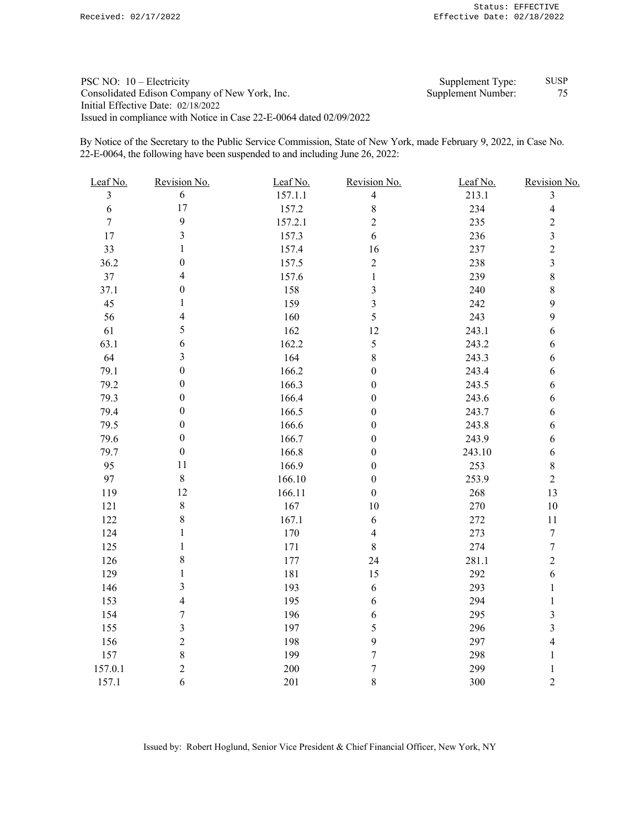| PSC NO: $10$ – Electricity                                          | Supplement Type:   | <b>SUSP</b> |
|---------------------------------------------------------------------|--------------------|-------------|
| Consolidated Edison Company of New York, Inc.                       | Supplement Number: |             |
| Initial Effective Date: 02/18/2022                                  |                    |             |
| Issued in compliance with Notice in Case 22-E-0064 dated 02/09/2022 |                    |             |

By Notice of the Secretary to the Public Service Commission, State of New York, made February 9, 2022, in Case No. 22-E-0064, the following have been suspended to and including June 26, 2022:

| $\overline{3}$<br>157.1.1<br>213.1<br>6<br>$\overline{4}$<br>3<br>17<br>$\,$ $\,$<br>157.2<br>234<br>$\overline{4}$<br>6<br>9<br>$\overline{c}$<br>157.2.1<br>235<br>$\sqrt{2}$<br>$\overline{7}$<br>$\mathfrak{Z}$<br>157.3<br>$\mathfrak{Z}$<br>17<br>6<br>236<br>33<br>1<br>157.4<br>237<br>$\sqrt{2}$<br>16<br>$\boldsymbol{0}$<br>36.2<br>157.5<br>$\overline{c}$<br>238<br>$\mathfrak{Z}$<br>$\overline{4}$<br>$\,8\,$<br>$37\,$<br>157.6<br>239<br>$\mathbf{1}$<br>$\boldsymbol{0}$<br>$8\,$<br>37.1<br>158<br>3<br>240<br>$\overline{3}$<br>45<br>1<br>242<br>9<br>159<br>$\overline{4}$<br>5<br>9<br>56<br>160<br>243<br>5<br>12<br>243.1<br>61<br>162<br>$\sqrt{6}$<br>$\sqrt{6}$<br>5<br>63.1<br>162.2<br>243.2<br>6<br>$\mathfrak{Z}$<br>64<br>164<br>$8\,$<br>243.3<br>6<br>$\boldsymbol{0}$<br>79.1<br>166.2<br>$\boldsymbol{0}$<br>243.4<br>$\sqrt{6}$<br>79.2<br>$\boldsymbol{0}$<br>243.5<br>166.3<br>$\boldsymbol{0}$<br>$\sqrt{6}$<br>79.3<br>$\boldsymbol{0}$<br>166.4<br>243.6<br>$\sqrt{6}$<br>$\boldsymbol{0}$<br>79.4<br>$\boldsymbol{0}$<br>166.5<br>243.7<br>$\sqrt{6}$<br>$\boldsymbol{0}$<br>79.5<br>$\boldsymbol{0}$<br>166.6<br>$\boldsymbol{0}$<br>243.8<br>$\sqrt{6}$<br>79.6<br>$\boldsymbol{0}$<br>166.7<br>243.9<br>$\boldsymbol{0}$<br>$\sqrt{6}$<br>$\boldsymbol{0}$<br>79.7<br>166.8<br>$\boldsymbol{0}$<br>243.10<br>$\sqrt{6}$<br>11<br>95<br>166.9<br>253<br>$\,8\,$<br>$\mathbf{0}$<br>$\,8\,$<br>97<br>166.10<br>253.9<br>$\sqrt{2}$<br>$\boldsymbol{0}$<br>12<br>119<br>166.11<br>$\boldsymbol{0}$<br>268<br>13<br>$\,8\,$<br>167<br>$10\,$<br>270<br>$10\,$<br>121<br>8<br>167.1<br>122<br>6<br>272<br>11<br>$\mathbf{1}$<br>170<br>273<br>$\boldsymbol{7}$<br>124<br>$\overline{4}$<br>$\mathbf{1}$<br>125<br>171<br>8<br>274<br>$\tau$<br>$\,8\,$<br>$\overline{2}$<br>126<br>177<br>24<br>281.1<br>$\mathbf{1}$<br>292<br>129<br>181<br>15<br>$\sqrt{6}$<br>3<br>293<br>146<br>193<br>6<br>$\mathbf{1}$<br>$\overline{4}$<br>195<br>294<br>153<br>6<br>1<br>$\boldsymbol{7}$<br>154<br>196<br>295<br>3<br>6<br>$\mathfrak{Z}$<br>$\overline{3}$<br>5<br>296<br>155<br>197<br>$\overline{2}$<br>9<br>$\overline{4}$<br>156<br>198<br>297<br>$\,8\,$<br>$\boldsymbol{7}$<br>157<br>199<br>298<br>$\mathbf{1}$<br>$\overline{2}$<br>$\overline{7}$<br>157.0.1<br>200<br>299<br>$\mathbf{1}$<br>6<br>$8\,$<br>$\overline{c}$<br>201<br>300<br>157.1 | Leaf No. | Revision No. | Leaf No. | Revision No. | Leaf No. | Revision No. |
|-------------------------------------------------------------------------------------------------------------------------------------------------------------------------------------------------------------------------------------------------------------------------------------------------------------------------------------------------------------------------------------------------------------------------------------------------------------------------------------------------------------------------------------------------------------------------------------------------------------------------------------------------------------------------------------------------------------------------------------------------------------------------------------------------------------------------------------------------------------------------------------------------------------------------------------------------------------------------------------------------------------------------------------------------------------------------------------------------------------------------------------------------------------------------------------------------------------------------------------------------------------------------------------------------------------------------------------------------------------------------------------------------------------------------------------------------------------------------------------------------------------------------------------------------------------------------------------------------------------------------------------------------------------------------------------------------------------------------------------------------------------------------------------------------------------------------------------------------------------------------------------------------------------------------------------------------------------------------------------------------------------------------------------------------------------------------------------------------------------------------------------------------------------------------------------------------------------------------------------------------------------------------------------------------------------------------------------------------------------------------------------------------|----------|--------------|----------|--------------|----------|--------------|
|                                                                                                                                                                                                                                                                                                                                                                                                                                                                                                                                                                                                                                                                                                                                                                                                                                                                                                                                                                                                                                                                                                                                                                                                                                                                                                                                                                                                                                                                                                                                                                                                                                                                                                                                                                                                                                                                                                                                                                                                                                                                                                                                                                                                                                                                                                                                                                                                 |          |              |          |              |          |              |
|                                                                                                                                                                                                                                                                                                                                                                                                                                                                                                                                                                                                                                                                                                                                                                                                                                                                                                                                                                                                                                                                                                                                                                                                                                                                                                                                                                                                                                                                                                                                                                                                                                                                                                                                                                                                                                                                                                                                                                                                                                                                                                                                                                                                                                                                                                                                                                                                 |          |              |          |              |          |              |
|                                                                                                                                                                                                                                                                                                                                                                                                                                                                                                                                                                                                                                                                                                                                                                                                                                                                                                                                                                                                                                                                                                                                                                                                                                                                                                                                                                                                                                                                                                                                                                                                                                                                                                                                                                                                                                                                                                                                                                                                                                                                                                                                                                                                                                                                                                                                                                                                 |          |              |          |              |          |              |
|                                                                                                                                                                                                                                                                                                                                                                                                                                                                                                                                                                                                                                                                                                                                                                                                                                                                                                                                                                                                                                                                                                                                                                                                                                                                                                                                                                                                                                                                                                                                                                                                                                                                                                                                                                                                                                                                                                                                                                                                                                                                                                                                                                                                                                                                                                                                                                                                 |          |              |          |              |          |              |
|                                                                                                                                                                                                                                                                                                                                                                                                                                                                                                                                                                                                                                                                                                                                                                                                                                                                                                                                                                                                                                                                                                                                                                                                                                                                                                                                                                                                                                                                                                                                                                                                                                                                                                                                                                                                                                                                                                                                                                                                                                                                                                                                                                                                                                                                                                                                                                                                 |          |              |          |              |          |              |
|                                                                                                                                                                                                                                                                                                                                                                                                                                                                                                                                                                                                                                                                                                                                                                                                                                                                                                                                                                                                                                                                                                                                                                                                                                                                                                                                                                                                                                                                                                                                                                                                                                                                                                                                                                                                                                                                                                                                                                                                                                                                                                                                                                                                                                                                                                                                                                                                 |          |              |          |              |          |              |
|                                                                                                                                                                                                                                                                                                                                                                                                                                                                                                                                                                                                                                                                                                                                                                                                                                                                                                                                                                                                                                                                                                                                                                                                                                                                                                                                                                                                                                                                                                                                                                                                                                                                                                                                                                                                                                                                                                                                                                                                                                                                                                                                                                                                                                                                                                                                                                                                 |          |              |          |              |          |              |
|                                                                                                                                                                                                                                                                                                                                                                                                                                                                                                                                                                                                                                                                                                                                                                                                                                                                                                                                                                                                                                                                                                                                                                                                                                                                                                                                                                                                                                                                                                                                                                                                                                                                                                                                                                                                                                                                                                                                                                                                                                                                                                                                                                                                                                                                                                                                                                                                 |          |              |          |              |          |              |
|                                                                                                                                                                                                                                                                                                                                                                                                                                                                                                                                                                                                                                                                                                                                                                                                                                                                                                                                                                                                                                                                                                                                                                                                                                                                                                                                                                                                                                                                                                                                                                                                                                                                                                                                                                                                                                                                                                                                                                                                                                                                                                                                                                                                                                                                                                                                                                                                 |          |              |          |              |          |              |
|                                                                                                                                                                                                                                                                                                                                                                                                                                                                                                                                                                                                                                                                                                                                                                                                                                                                                                                                                                                                                                                                                                                                                                                                                                                                                                                                                                                                                                                                                                                                                                                                                                                                                                                                                                                                                                                                                                                                                                                                                                                                                                                                                                                                                                                                                                                                                                                                 |          |              |          |              |          |              |
|                                                                                                                                                                                                                                                                                                                                                                                                                                                                                                                                                                                                                                                                                                                                                                                                                                                                                                                                                                                                                                                                                                                                                                                                                                                                                                                                                                                                                                                                                                                                                                                                                                                                                                                                                                                                                                                                                                                                                                                                                                                                                                                                                                                                                                                                                                                                                                                                 |          |              |          |              |          |              |
|                                                                                                                                                                                                                                                                                                                                                                                                                                                                                                                                                                                                                                                                                                                                                                                                                                                                                                                                                                                                                                                                                                                                                                                                                                                                                                                                                                                                                                                                                                                                                                                                                                                                                                                                                                                                                                                                                                                                                                                                                                                                                                                                                                                                                                                                                                                                                                                                 |          |              |          |              |          |              |
|                                                                                                                                                                                                                                                                                                                                                                                                                                                                                                                                                                                                                                                                                                                                                                                                                                                                                                                                                                                                                                                                                                                                                                                                                                                                                                                                                                                                                                                                                                                                                                                                                                                                                                                                                                                                                                                                                                                                                                                                                                                                                                                                                                                                                                                                                                                                                                                                 |          |              |          |              |          |              |
|                                                                                                                                                                                                                                                                                                                                                                                                                                                                                                                                                                                                                                                                                                                                                                                                                                                                                                                                                                                                                                                                                                                                                                                                                                                                                                                                                                                                                                                                                                                                                                                                                                                                                                                                                                                                                                                                                                                                                                                                                                                                                                                                                                                                                                                                                                                                                                                                 |          |              |          |              |          |              |
|                                                                                                                                                                                                                                                                                                                                                                                                                                                                                                                                                                                                                                                                                                                                                                                                                                                                                                                                                                                                                                                                                                                                                                                                                                                                                                                                                                                                                                                                                                                                                                                                                                                                                                                                                                                                                                                                                                                                                                                                                                                                                                                                                                                                                                                                                                                                                                                                 |          |              |          |              |          |              |
|                                                                                                                                                                                                                                                                                                                                                                                                                                                                                                                                                                                                                                                                                                                                                                                                                                                                                                                                                                                                                                                                                                                                                                                                                                                                                                                                                                                                                                                                                                                                                                                                                                                                                                                                                                                                                                                                                                                                                                                                                                                                                                                                                                                                                                                                                                                                                                                                 |          |              |          |              |          |              |
|                                                                                                                                                                                                                                                                                                                                                                                                                                                                                                                                                                                                                                                                                                                                                                                                                                                                                                                                                                                                                                                                                                                                                                                                                                                                                                                                                                                                                                                                                                                                                                                                                                                                                                                                                                                                                                                                                                                                                                                                                                                                                                                                                                                                                                                                                                                                                                                                 |          |              |          |              |          |              |
|                                                                                                                                                                                                                                                                                                                                                                                                                                                                                                                                                                                                                                                                                                                                                                                                                                                                                                                                                                                                                                                                                                                                                                                                                                                                                                                                                                                                                                                                                                                                                                                                                                                                                                                                                                                                                                                                                                                                                                                                                                                                                                                                                                                                                                                                                                                                                                                                 |          |              |          |              |          |              |
|                                                                                                                                                                                                                                                                                                                                                                                                                                                                                                                                                                                                                                                                                                                                                                                                                                                                                                                                                                                                                                                                                                                                                                                                                                                                                                                                                                                                                                                                                                                                                                                                                                                                                                                                                                                                                                                                                                                                                                                                                                                                                                                                                                                                                                                                                                                                                                                                 |          |              |          |              |          |              |
|                                                                                                                                                                                                                                                                                                                                                                                                                                                                                                                                                                                                                                                                                                                                                                                                                                                                                                                                                                                                                                                                                                                                                                                                                                                                                                                                                                                                                                                                                                                                                                                                                                                                                                                                                                                                                                                                                                                                                                                                                                                                                                                                                                                                                                                                                                                                                                                                 |          |              |          |              |          |              |
|                                                                                                                                                                                                                                                                                                                                                                                                                                                                                                                                                                                                                                                                                                                                                                                                                                                                                                                                                                                                                                                                                                                                                                                                                                                                                                                                                                                                                                                                                                                                                                                                                                                                                                                                                                                                                                                                                                                                                                                                                                                                                                                                                                                                                                                                                                                                                                                                 |          |              |          |              |          |              |
|                                                                                                                                                                                                                                                                                                                                                                                                                                                                                                                                                                                                                                                                                                                                                                                                                                                                                                                                                                                                                                                                                                                                                                                                                                                                                                                                                                                                                                                                                                                                                                                                                                                                                                                                                                                                                                                                                                                                                                                                                                                                                                                                                                                                                                                                                                                                                                                                 |          |              |          |              |          |              |
|                                                                                                                                                                                                                                                                                                                                                                                                                                                                                                                                                                                                                                                                                                                                                                                                                                                                                                                                                                                                                                                                                                                                                                                                                                                                                                                                                                                                                                                                                                                                                                                                                                                                                                                                                                                                                                                                                                                                                                                                                                                                                                                                                                                                                                                                                                                                                                                                 |          |              |          |              |          |              |
|                                                                                                                                                                                                                                                                                                                                                                                                                                                                                                                                                                                                                                                                                                                                                                                                                                                                                                                                                                                                                                                                                                                                                                                                                                                                                                                                                                                                                                                                                                                                                                                                                                                                                                                                                                                                                                                                                                                                                                                                                                                                                                                                                                                                                                                                                                                                                                                                 |          |              |          |              |          |              |
|                                                                                                                                                                                                                                                                                                                                                                                                                                                                                                                                                                                                                                                                                                                                                                                                                                                                                                                                                                                                                                                                                                                                                                                                                                                                                                                                                                                                                                                                                                                                                                                                                                                                                                                                                                                                                                                                                                                                                                                                                                                                                                                                                                                                                                                                                                                                                                                                 |          |              |          |              |          |              |
|                                                                                                                                                                                                                                                                                                                                                                                                                                                                                                                                                                                                                                                                                                                                                                                                                                                                                                                                                                                                                                                                                                                                                                                                                                                                                                                                                                                                                                                                                                                                                                                                                                                                                                                                                                                                                                                                                                                                                                                                                                                                                                                                                                                                                                                                                                                                                                                                 |          |              |          |              |          |              |
|                                                                                                                                                                                                                                                                                                                                                                                                                                                                                                                                                                                                                                                                                                                                                                                                                                                                                                                                                                                                                                                                                                                                                                                                                                                                                                                                                                                                                                                                                                                                                                                                                                                                                                                                                                                                                                                                                                                                                                                                                                                                                                                                                                                                                                                                                                                                                                                                 |          |              |          |              |          |              |
|                                                                                                                                                                                                                                                                                                                                                                                                                                                                                                                                                                                                                                                                                                                                                                                                                                                                                                                                                                                                                                                                                                                                                                                                                                                                                                                                                                                                                                                                                                                                                                                                                                                                                                                                                                                                                                                                                                                                                                                                                                                                                                                                                                                                                                                                                                                                                                                                 |          |              |          |              |          |              |
|                                                                                                                                                                                                                                                                                                                                                                                                                                                                                                                                                                                                                                                                                                                                                                                                                                                                                                                                                                                                                                                                                                                                                                                                                                                                                                                                                                                                                                                                                                                                                                                                                                                                                                                                                                                                                                                                                                                                                                                                                                                                                                                                                                                                                                                                                                                                                                                                 |          |              |          |              |          |              |
|                                                                                                                                                                                                                                                                                                                                                                                                                                                                                                                                                                                                                                                                                                                                                                                                                                                                                                                                                                                                                                                                                                                                                                                                                                                                                                                                                                                                                                                                                                                                                                                                                                                                                                                                                                                                                                                                                                                                                                                                                                                                                                                                                                                                                                                                                                                                                                                                 |          |              |          |              |          |              |
|                                                                                                                                                                                                                                                                                                                                                                                                                                                                                                                                                                                                                                                                                                                                                                                                                                                                                                                                                                                                                                                                                                                                                                                                                                                                                                                                                                                                                                                                                                                                                                                                                                                                                                                                                                                                                                                                                                                                                                                                                                                                                                                                                                                                                                                                                                                                                                                                 |          |              |          |              |          |              |
|                                                                                                                                                                                                                                                                                                                                                                                                                                                                                                                                                                                                                                                                                                                                                                                                                                                                                                                                                                                                                                                                                                                                                                                                                                                                                                                                                                                                                                                                                                                                                                                                                                                                                                                                                                                                                                                                                                                                                                                                                                                                                                                                                                                                                                                                                                                                                                                                 |          |              |          |              |          |              |
|                                                                                                                                                                                                                                                                                                                                                                                                                                                                                                                                                                                                                                                                                                                                                                                                                                                                                                                                                                                                                                                                                                                                                                                                                                                                                                                                                                                                                                                                                                                                                                                                                                                                                                                                                                                                                                                                                                                                                                                                                                                                                                                                                                                                                                                                                                                                                                                                 |          |              |          |              |          |              |
|                                                                                                                                                                                                                                                                                                                                                                                                                                                                                                                                                                                                                                                                                                                                                                                                                                                                                                                                                                                                                                                                                                                                                                                                                                                                                                                                                                                                                                                                                                                                                                                                                                                                                                                                                                                                                                                                                                                                                                                                                                                                                                                                                                                                                                                                                                                                                                                                 |          |              |          |              |          |              |
|                                                                                                                                                                                                                                                                                                                                                                                                                                                                                                                                                                                                                                                                                                                                                                                                                                                                                                                                                                                                                                                                                                                                                                                                                                                                                                                                                                                                                                                                                                                                                                                                                                                                                                                                                                                                                                                                                                                                                                                                                                                                                                                                                                                                                                                                                                                                                                                                 |          |              |          |              |          |              |
|                                                                                                                                                                                                                                                                                                                                                                                                                                                                                                                                                                                                                                                                                                                                                                                                                                                                                                                                                                                                                                                                                                                                                                                                                                                                                                                                                                                                                                                                                                                                                                                                                                                                                                                                                                                                                                                                                                                                                                                                                                                                                                                                                                                                                                                                                                                                                                                                 |          |              |          |              |          |              |
|                                                                                                                                                                                                                                                                                                                                                                                                                                                                                                                                                                                                                                                                                                                                                                                                                                                                                                                                                                                                                                                                                                                                                                                                                                                                                                                                                                                                                                                                                                                                                                                                                                                                                                                                                                                                                                                                                                                                                                                                                                                                                                                                                                                                                                                                                                                                                                                                 |          |              |          |              |          |              |

Issued by: Robert Hoglund, Senior Vice President & Chief Financial Officer, New York, NY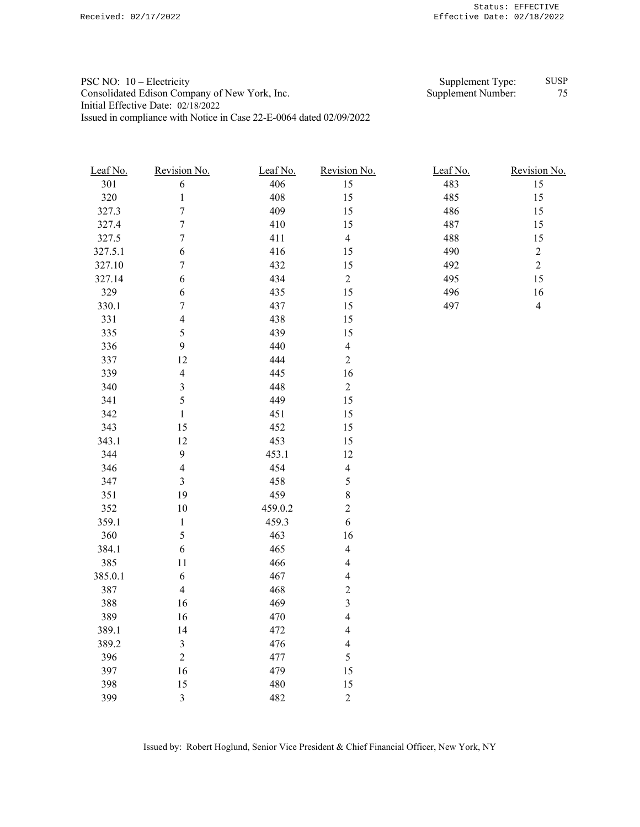PSC NO: 10 – Electricity Supplement Type: SUSP Consolidated Edison Company of New York, Inc. Supplement Number: 75 Initial Effective Date: 02/18/2022 Issued in compliance with Notice in Case 22-E-0064 dated 02/09/2022

| Leaf No. | Revision No.            | Leaf No. | Revision No.             | Leaf No. | Revision No.   |
|----------|-------------------------|----------|--------------------------|----------|----------------|
| 301      | $\sqrt{6}$              | 406      | 15                       | 483      | 15             |
| 320      | $\,1$                   | 408      | 15                       | 485      | 15             |
| 327.3    | $\sqrt{ }$              | 409      | 15                       | 486      | 15             |
| 327.4    | $\overline{7}$          | 410      | 15                       | 487      | 15             |
| 327.5    | $\sqrt{ }$              | 411      | $\overline{4}$           | 488      | $15\,$         |
| 327.5.1  | $\boldsymbol{6}$        | 416      | 15                       | 490      | $\overline{c}$ |
| 327.10   | $\sqrt{ }$              | 432      | 15                       | 492      | $\overline{2}$ |
| 327.14   | $\boldsymbol{6}$        | 434      | $\overline{c}$           | 495      | 15             |
| 329      | $\sqrt{6}$              | 435      | 15                       | 496      | 16             |
| 330.1    | $\boldsymbol{7}$        | 437      | 15                       | 497      | $\overline{4}$ |
| 331      | $\overline{4}$          | 438      | 15                       |          |                |
| 335      | 5                       | 439      | 15                       |          |                |
| 336      | $\mathfrak{g}$          | 440      | $\overline{\mathcal{L}}$ |          |                |
| 337      | 12                      | 444      | $\overline{c}$           |          |                |
| 339      | $\overline{\mathbf{4}}$ | 445      | 16                       |          |                |
| 340      | $\overline{\mathbf{3}}$ | 448      | $\overline{c}$           |          |                |
| 341      | 5                       | 449      | 15                       |          |                |
| 342      | $\,1$                   | 451      | 15                       |          |                |
| 343      | 15                      | 452      | 15                       |          |                |
| 343.1    | 12                      | 453      | 15                       |          |                |
| 344      | $\mathbf{9}$            | 453.1    | 12                       |          |                |
| 346      | $\overline{4}$          | 454      | $\overline{\mathcal{L}}$ |          |                |
| 347      | $\mathfrak{Z}$          | 458      | 5                        |          |                |
| 351      | 19                      | 459      | $\,$ $\,$                |          |                |
| 352      | $10\,$                  | 459.0.2  | $\overline{c}$           |          |                |
| 359.1    | $\,1$                   | 459.3    | 6                        |          |                |
| 360      | 5                       | 463      | 16                       |          |                |
| 384.1    | $\sqrt{6}$              | 465      | $\overline{\mathbf{4}}$  |          |                |
| 385      | 11                      | 466      | $\overline{\mathcal{L}}$ |          |                |
| 385.0.1  | 6                       | 467      | $\overline{4}$           |          |                |
| 387      | $\overline{\mathbf{4}}$ | 468      | $\overline{c}$           |          |                |
| 388      | 16                      | 469      | 3                        |          |                |
| 389      | 16                      | 470      | $\overline{\mathcal{A}}$ |          |                |
| 389.1    | 14                      | 472      | $\overline{\mathcal{L}}$ |          |                |
| 389.2    | $\mathfrak{Z}$          | 476      | $\overline{\mathcal{L}}$ |          |                |
| 396      | $\sqrt{2}$              | 477      | 5                        |          |                |
|          |                         |          |                          |          |                |

397 16 479 15 398 15 480 15 399 3 482 2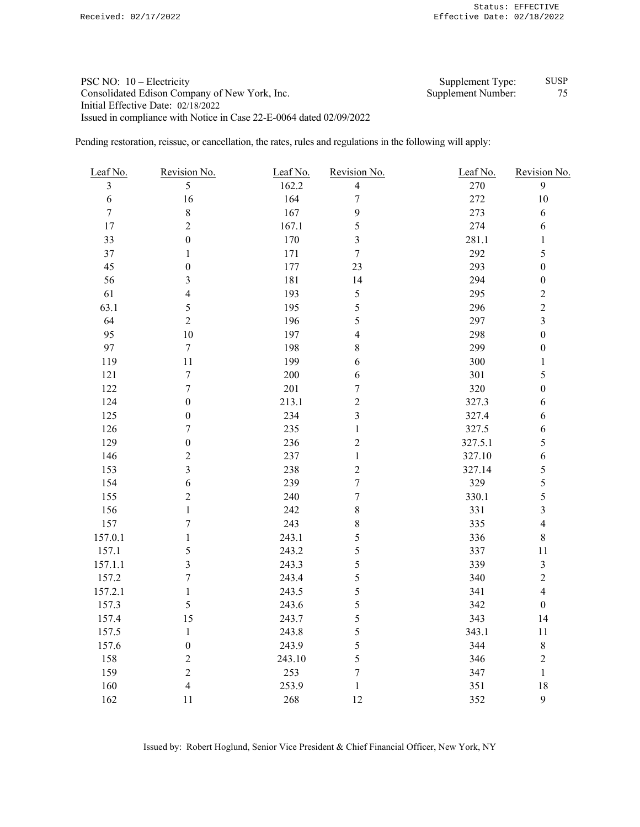## PSC NO: 10 – Electricity Supplement Type: SUSP Consolidated Edison Company of New York, Inc. Supplement Number: 75 Initial Effective Date: 02/18/2022 Issued in compliance with Notice in Case 22-E-0064 dated 02/09/2022

Pending restoration, reissue, or cancellation, the rates, rules and regulations in the following will apply:

| Leaf No.         | Revision No.     | Leaf No. | Revision No.     | Leaf No. | Revision No.            |
|------------------|------------------|----------|------------------|----------|-------------------------|
| $\overline{3}$   | 5                | 162.2    | $\overline{4}$   | 270      | 9                       |
| $\sqrt{6}$       | 16               | 164      | $\sqrt{ }$       | 272      | $10\,$                  |
| $\boldsymbol{7}$ | $\,8$            | 167      | 9                | 273      | $\sqrt{6}$              |
| $17\,$           | $\overline{2}$   | 167.1    | 5                | 274      | 6                       |
| 33               | $\boldsymbol{0}$ | 170      | $\mathfrak{Z}$   | 281.1    | $\mathbf{1}$            |
| $37\,$           | $\mathbf{1}$     | 171      | $\boldsymbol{7}$ | 292      | 5                       |
| 45               | $\boldsymbol{0}$ | 177      | 23               | 293      | $\boldsymbol{0}$        |
| 56               | $\mathfrak{Z}$   | 181      | 14               | 294      | $\boldsymbol{0}$        |
| 61               | $\overline{4}$   | 193      | 5                | 295      | $\overline{c}$          |
| 63.1             | 5                | 195      | 5                | 296      | $\overline{c}$          |
| 64               | $\overline{2}$   | 196      | 5                | 297      | $\overline{\mathbf{3}}$ |
| 95               | $10\,$           | 197      | $\overline{4}$   | 298      | $\boldsymbol{0}$        |
| 97               | $\tau$           | 198      | $8\,$            | 299      | $\boldsymbol{0}$        |
| 119              | 11               | 199      | 6                | 300      | $\mathbf{1}$            |
| 121              | $\boldsymbol{7}$ | $200\,$  | 6                | 301      | 5                       |
| 122              | $\boldsymbol{7}$ | 201      | $\boldsymbol{7}$ | 320      | $\boldsymbol{0}$        |
| 124              | $\boldsymbol{0}$ | 213.1    | $\sqrt{2}$       | 327.3    | 6                       |
| 125              | $\boldsymbol{0}$ | 234      | $\mathfrak{Z}$   | 327.4    | 6                       |
| 126              | 7                | 235      | $\mathbf{1}$     | 327.5    | 6                       |
| 129              | $\boldsymbol{0}$ | 236      | $\sqrt{2}$       | 327.5.1  | 5                       |
| 146              | $\overline{c}$   | 237      | $\mathbf{1}$     | 327.10   | $\sqrt{6}$              |
| 153              | $\overline{3}$   | 238      | $\overline{2}$   | 327.14   | 5                       |
| 154              | 6                | 239      | $\boldsymbol{7}$ | 329      | 5                       |
| 155              | $\overline{c}$   | 240      | $\boldsymbol{7}$ | 330.1    | 5                       |
| 156              | $\,1$            | 242      | $\,8\,$          | 331      | $\overline{\mathbf{3}}$ |
| 157              | $\boldsymbol{7}$ | 243      | $\,$ $\,$        | 335      | $\overline{4}$          |
| 157.0.1          | 1                | 243.1    | $\sqrt{5}$       | 336      | $\,$ $\,$               |
| 157.1            | 5                | 243.2    | $\sqrt{5}$       | 337      | 11                      |
| 157.1.1          | 3                | 243.3    | 5                | 339      | $\overline{\mathbf{3}}$ |
| 157.2            | $\boldsymbol{7}$ | 243.4    | 5                | 340      | $\overline{c}$          |
| 157.2.1          | $\mathbf{1}$     | 243.5    | 5                | 341      | $\overline{4}$          |
| 157.3            | 5                | 243.6    | 5                | 342      | $\boldsymbol{0}$        |
| 157.4            | 15               | 243.7    | 5                | 343      | 14                      |
| 157.5            | $\,1$            | 243.8    | $\sqrt{5}$       | 343.1    | 11                      |
| 157.6            | $\boldsymbol{0}$ | 243.9    | $\mathfrak s$    | 344      | $\,8\,$                 |
| 158              | $\overline{c}$   | 243.10   | 5                | 346      | $\overline{c}$          |
| 159              | $\overline{c}$   | 253      | $\boldsymbol{7}$ | 347      | $\mathbf{1}$            |
| 160              | $\overline{4}$   | 253.9    | $\mathbf{1}$     | 351      | 18                      |
| 162              | 11               | 268      | 12               | 352      | 9                       |

Issued by: Robert Hoglund, Senior Vice President & Chief Financial Officer, New York, NY